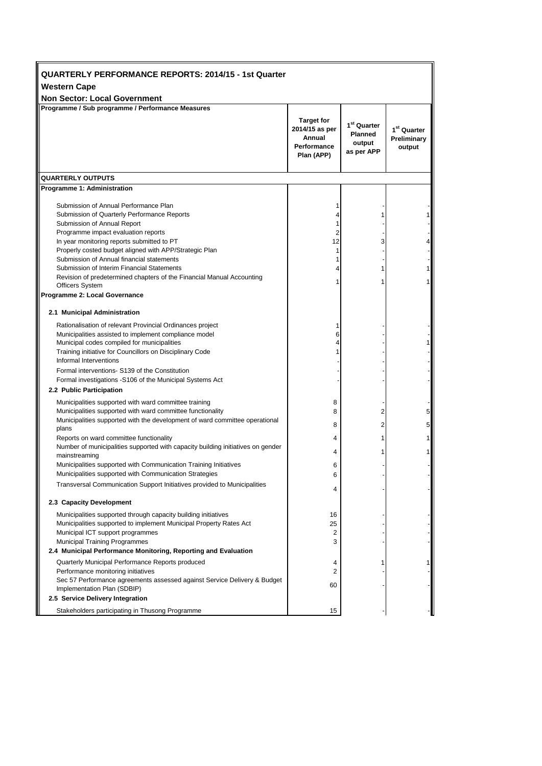| QUARTERLY PERFORMANCE REPORTS: 2014/15 - 1st Quarter                                                                                                                                                                          |                                                                            |                                                                   |                                        |
|-------------------------------------------------------------------------------------------------------------------------------------------------------------------------------------------------------------------------------|----------------------------------------------------------------------------|-------------------------------------------------------------------|----------------------------------------|
| <b>Western Cape</b>                                                                                                                                                                                                           |                                                                            |                                                                   |                                        |
| <b>Non Sector: Local Government</b>                                                                                                                                                                                           |                                                                            |                                                                   |                                        |
| Programme / Sub programme / Performance Measures                                                                                                                                                                              |                                                                            |                                                                   |                                        |
|                                                                                                                                                                                                                               | <b>Target for</b><br>2014/15 as per<br>Annual<br>Performance<br>Plan (APP) | 1 <sup>st</sup> Quarter<br><b>Planned</b><br>output<br>as per APP | $1st$ Quarter<br>Preliminary<br>output |
| <b>QUARTERLY OUTPUTS</b>                                                                                                                                                                                                      |                                                                            |                                                                   |                                        |
| Programme 1: Administration                                                                                                                                                                                                   |                                                                            |                                                                   |                                        |
| Submission of Annual Performance Plan<br>Submission of Quarterly Performance Reports<br>Submission of Annual Report                                                                                                           | 1                                                                          | 1                                                                 |                                        |
| Programme impact evaluation reports<br>In year monitoring reports submitted to PT<br>Properly costed budget aligned with APP/Strategic Plan                                                                                   | 2<br>12<br>1                                                               | 3                                                                 | 4                                      |
| Submission of Annual financial statements<br>Submission of Interim Financial Statements<br>Revision of predetermined chapters of the Financial Manual Accounting                                                              | 1<br>4                                                                     | 1                                                                 | 1<br>1                                 |
| <b>Officers System</b><br>Programme 2: Local Governance                                                                                                                                                                       |                                                                            |                                                                   |                                        |
|                                                                                                                                                                                                                               |                                                                            |                                                                   |                                        |
| 2.1 Municipal Administration                                                                                                                                                                                                  |                                                                            |                                                                   |                                        |
| Rationalisation of relevant Provincial Ordinances project<br>Municipalities assisted to implement compliance model<br>Municipal codes compiled for municipalities<br>Training initiative for Councillors on Disciplinary Code | 6<br>4                                                                     |                                                                   |                                        |
| Informal Interventions<br>Formal interventions- S139 of the Constitution<br>Formal investigations -S106 of the Municipal Systems Act                                                                                          |                                                                            |                                                                   |                                        |
| 2.2 Public Participation                                                                                                                                                                                                      |                                                                            |                                                                   |                                        |
| Municipalities supported with ward committee training<br>Municipalities supported with ward committee functionality<br>Municipalities supported with the development of ward committee operational                            | 8<br>8<br>8                                                                | 2<br>2                                                            | 5<br>5                                 |
| plans<br>Reports on ward committee functionality                                                                                                                                                                              | 4                                                                          | 1                                                                 | 1                                      |
| Number of municipalities supported with capacity building initiatives on gender<br>mainstreaming                                                                                                                              | 4                                                                          | 1                                                                 | 1                                      |
| Municipalities supported with Communication Training Initiatives<br>Municipalities supported with Communication Strategies                                                                                                    | 6<br>6                                                                     |                                                                   |                                        |
| Transversal Communication Support Initiatives provided to Municipalities                                                                                                                                                      | 4                                                                          |                                                                   |                                        |
| 2.3 Capacity Development                                                                                                                                                                                                      |                                                                            |                                                                   |                                        |
| Municipalities supported through capacity building initiatives<br>Municipalities supported to implement Municipal Property Rates Act<br>Municipal ICT support programmes                                                      | 16<br>25<br>2                                                              |                                                                   |                                        |
| <b>Municipal Training Programmes</b>                                                                                                                                                                                          | 3                                                                          |                                                                   |                                        |
| 2.4 Municipal Performance Monitoring, Reporting and Evaluation                                                                                                                                                                |                                                                            |                                                                   |                                        |
| Quarterly Municipal Performance Reports produced<br>Performance monitoring initiatives                                                                                                                                        | 4<br>2                                                                     |                                                                   |                                        |
| Sec 57 Performance agreements assessed against Service Delivery & Budget<br>Implementation Plan (SDBIP)<br>2.5 Service Delivery Integration                                                                                   | 60                                                                         |                                                                   |                                        |
| Stakeholders participating in Thusong Programme                                                                                                                                                                               | 15                                                                         |                                                                   |                                        |